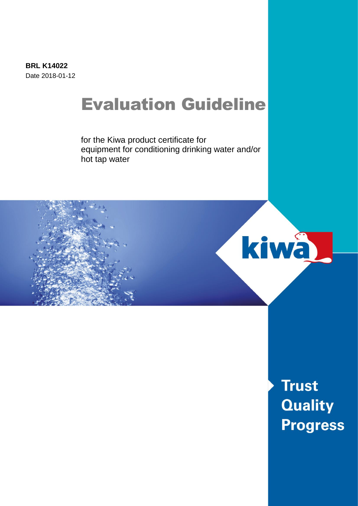**BRL K14022** Date 2018-01-12

# Evaluation Guideline

for the Kiwa product certificate for equipment for conditioning drinking water and/or hot tap water



**Trust Quality Progress**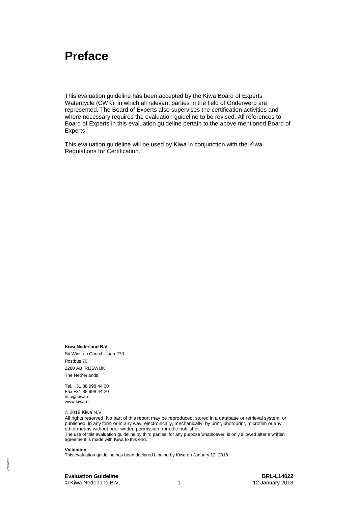## **Preface**

This evaluation guideline has been accepted by the Kiwa Board of Experts Watercycle (CWK), in which all relevant parties in the field of Onderwerp are represented. The Board of Experts also supervises the certification activities and where necessary requires the evaluation guideline to be revised. All references to Board of Experts in this evaluation guideline pertain to the above mentioned Board of Experts.

This evaluation guideline will be used by Kiwa in conjunction with the Kiwa Regulations for Certification.

**Kiwa Nederland B.V.** Sir Winston Churchilllaan 273 Postbus 70 2280 AB RIJSWIJK The Netherlands

Tel. +31 88 998 44 00 Fax +31 88 998 44 20 info@kiwa.nl www.kiwa.nl

© 2018 Kiwa N.V.

All rights reserved. No part of this report may be reproduced, stored in a database or retrieval system, or published, in any form or in any way, electronically, mechanically, by print, photoprint, microfilm or any other means without prior written permission from the publisher. The use of this evaluation guideline by third parties, for any purpose whatsoever, is only allowed after a written agreement is made with Kiwa to this end.

#### **Validation**

78/160822 478/160822 This evaluation guideline has been declared binding by Kiwa on January 12, 2018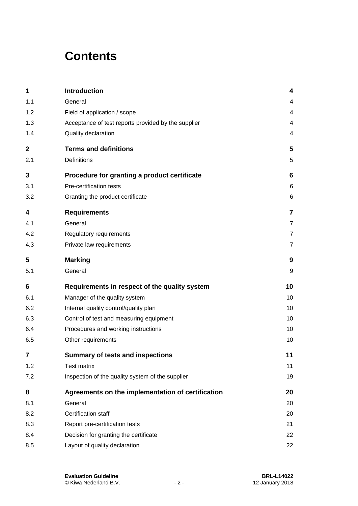## **Contents**

| 1           | <b>Introduction</b>                                 | 4              |
|-------------|-----------------------------------------------------|----------------|
| 1.1         | General                                             | 4              |
| 1.2         | Field of application / scope                        | 4              |
| 1.3         | Acceptance of test reports provided by the supplier | 4              |
| 1.4         | Quality declaration                                 | 4              |
| $\mathbf 2$ | <b>Terms and definitions</b>                        | 5              |
| 2.1         | <b>Definitions</b>                                  | 5              |
| 3           | Procedure for granting a product certificate        | 6              |
| 3.1         | Pre-certification tests                             | 6              |
| 3.2         | Granting the product certificate                    | 6              |
| 4           | <b>Requirements</b>                                 | $\overline{7}$ |
| 4.1         | General                                             | $\overline{7}$ |
| 4.2         | Regulatory requirements                             | $\overline{7}$ |
| 4.3         | Private law requirements                            | $\overline{7}$ |
| 5           | <b>Marking</b>                                      | 9              |
| 5.1         | General                                             | 9              |
| 6           | Requirements in respect of the quality system       | 10             |
| 6.1         | Manager of the quality system                       | 10             |
| 6.2         | Internal quality control/quality plan               | 10             |
| 6.3         | Control of test and measuring equipment             | 10             |
| 6.4         | Procedures and working instructions                 | 10             |
| 6.5         | Other requirements                                  | 10             |
| 7           | <b>Summary of tests and inspections</b>             | 11             |
| 1.2         | <b>Test matrix</b>                                  | 11             |
| 7.2         | Inspection of the quality system of the supplier    | 19             |
| 8           | Agreements on the implementation of certification   | 20             |
| 8.1         | General                                             | 20             |
| 8.2         | Certification staff                                 | 20             |
| 8.3         | Report pre-certification tests                      | 21             |
| 8.4         | Decision for granting the certificate               | 22             |
| 8.5         | Layout of quality declaration                       | 22             |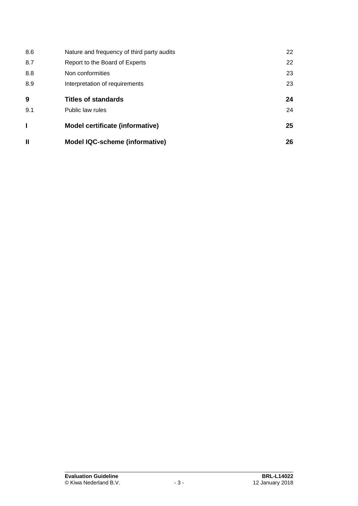| 8.6          | Nature and frequency of third party audits | 22 |
|--------------|--------------------------------------------|----|
| 8.7          | Report to the Board of Experts             | 22 |
| 8.8          | Non conformities                           | 23 |
| 8.9          | Interpretation of requirements             | 23 |
| 9            | <b>Titles of standards</b>                 | 24 |
| 9.1          | Public law rules                           | 24 |
|              | <b>Model certificate (informative)</b>     | 25 |
| $\mathbf{I}$ | <b>Model IQC-scheme (informative)</b>      | 26 |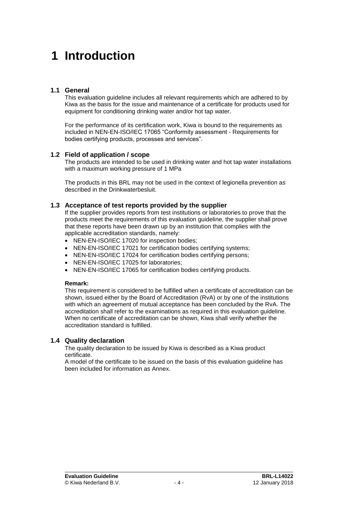## **1 Introduction**

#### **1.1 General**

This evaluation guideline includes all relevant requirements which are adhered to by Kiwa as the basis for the issue and maintenance of a certificate for products used for equipment for conditioning drinking water and/or hot tap water.

For the performance of its certification work, Kiwa is bound to the requirements as included in NEN-EN-ISO/IEC 17065 "Conformity assessment - Requirements for bodies certifying products, processes and services".

### **1.2 Field of application / scope**

The products are intended to be used in drinking water and hot tap water installations with a maximum working pressure of 1 MPa

The products in this BRL may not be used in the context of legionella prevention as described in the Drinkwaterbesluit.

#### **1.3 Acceptance of test reports provided by the supplier**

If the supplier provides reports from test institutions or laboratories to prove that the products meet the requirements of this evaluation guideline, the supplier shall prove that these reports have been drawn up by an institution that complies with the applicable accreditation standards, namely:

- NEN-EN-ISO/IEC 17020 for inspection bodies;
- NEN-EN-ISO/IEC 17021 for certification bodies certifying systems;
- NEN-EN-ISO/IEC 17024 for certification bodies certifying persons:
- NEN-EN-ISO/IEC 17025 for laboratories;
- NEN-EN-ISO/IEC 17065 for certification bodies certifying products.

#### **Remark:**

This requirement is considered to be fulfilled when a certificate of accreditation can be shown, issued either by the Board of Accreditation (RvA) or by one of the institutions with which an agreement of mutual acceptance has been concluded by the RvA. The accreditation shall refer to the examinations as required in this evaluation guideline. When no certificate of accreditation can be shown, Kiwa shall verify whether the accreditation standard is fulfilled.

#### **1.4 Quality declaration**

The quality declaration to be issued by Kiwa is described as a Kiwa product certificate.

A model of the certificate to be issued on the basis of this evaluation guideline has been included for information as Annex.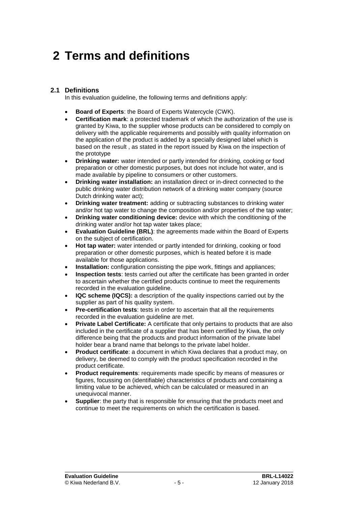## **2 Terms and definitions**

### **2.1 Definitions**

In this evaluation guideline, the following terms and definitions apply:

- **Board of Experts**: the Board of Experts Watercycle (CWK).
- **Certification mark**: a protected trademark of which the authorization of the use is granted by Kiwa, to the supplier whose products can be considered to comply on delivery with the applicable requirements and possibly with quality information on the application of the product is added by a specially designed label which is based on the result , as stated in the report issued by Kiwa on the inspection of the prototype
- **Drinking water:** water intended or partly intended for drinking, cooking or food preparation or other domestic purposes, but does not include hot water, and is made available by pipeline to consumers or other customers.
- **Drinking water installation:** an installation direct or in-direct connected to the public drinking water distribution network of a drinking water company (source Dutch drinking water act);
- **Drinking water treatment:** adding or subtracting substances to drinking water and/or hot tap water to change the composition and/or properties of the tap water;
- **Drinking water conditioning device:** device with which the conditioning of the drinking water and/or hot tap water takes place;
- **Evaluation Guideline (BRL)**: the agreements made within the Board of Experts on the subject of certification.
- **Hot tap water:** water intended or partly intended for drinking, cooking or food preparation or other domestic purposes, which is heated before it is made available for those applications.
- **Installation:** configuration consisting the pipe work, fittings and appliances;
- **Inspection tests**: tests carried out after the certificate has been granted in order to ascertain whether the certified products continue to meet the requirements recorded in the evaluation guideline.
- **IQC scheme (IQCS):** a description of the quality inspections carried out by the supplier as part of his quality system.
- **Pre-certification tests**: tests in order to ascertain that all the requirements recorded in the evaluation guideline are met.
- **Private Label Certificate:** A certificate that only pertains to products that are also included in the certificate of a supplier that has been certified by Kiwa, the only difference being that the products and product information of the private label holder bear a brand name that belongs to the private label holder.
- **Product certificate:** a document in which Kiwa declares that a product may, on delivery, be deemed to comply with the product specification recorded in the product certificate.
- **Product requirements**: requirements made specific by means of measures or figures, focussing on (identifiable) characteristics of products and containing a limiting value to be achieved, which can be calculated or measured in an unequivocal manner.
- **Supplier:** the party that is responsible for ensuring that the products meet and continue to meet the requirements on which the certification is based.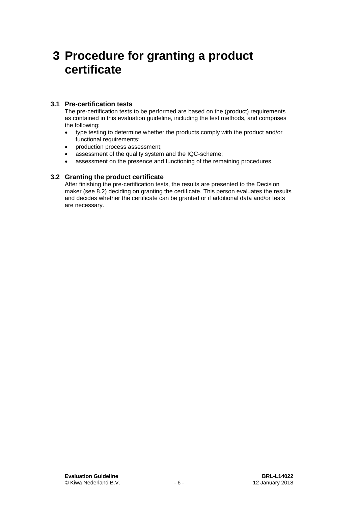## **3 Procedure for granting a product certificate**

### **3.1 Pre-certification tests**

The pre-certification tests to be performed are based on the (product) requirements as contained in this evaluation guideline, including the test methods, and comprises the following:

- type testing to determine whether the products comply with the product and/or functional requirements;
- production process assessment;
- assessment of the quality system and the IQC-scheme;
- assessment on the presence and functioning of the remaining procedures.

## **3.2 Granting the product certificate**

After finishing the pre-certification tests, the results are presented to the Decision maker (see [8.2\)](#page-20-0) deciding on granting the certificate. This person evaluates the results and decides whether the certificate can be granted or if additional data and/or tests are necessary.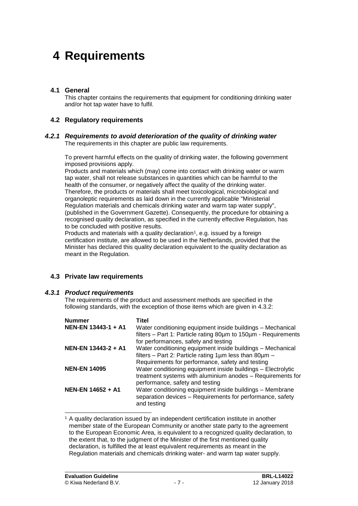## **4 Requirements**

### **4.1 General**

This chapter contains the requirements that equipment for conditioning drinking water and/or hot tap water have to fulfil.

### **4.2 Regulatory requirements**

#### *4.2.1 Requirements to avoid deterioration of the quality of drinking water* The requirements in this chapter are public law requirements.

To prevent harmful effects on the quality of drinking water, the following government imposed provisions apply.

Products and materials which (may) come into contact with drinking water or warm tap water, shall not release substances in quantities which can be harmful to the health of the consumer, or negatively affect the quality of the drinking water. Therefore, the products or materials shall meet toxicological, microbiological and organoleptic requirements as laid down in the currently applicable "Ministerial Regulation materials and chemicals drinking water and warm tap water supply", (published in the Government Gazette). Consequently, the procedure for obtaining a recognised quality declaration, as specified in the currently effective Regulation, has to be concluded with positive results.

Products and materials with a quality declaration<sup>1</sup>, e.g. issued by a foreign certification institute, are allowed to be used in the Netherlands, provided that the Minister has declared this quality declaration equivalent to the quality declaration as meant in the Regulation.

### **4.3 Private law requirements**

#### *4.3.1 Product requirements*

The requirements of the product and assessment methods are specified in the following standards, with the exception of those items which are given in 4.3.2:

| <b>Nummer</b>       | Titel                                                              |
|---------------------|--------------------------------------------------------------------|
| NEN-EN 13443-1 + A1 | Water conditioning equipment inside buildings - Mechanical         |
|                     | filters - Part 1: Particle rating 80um to 150um - Requirements     |
|                     | for performances, safety and testing                               |
| NEN-EN 13443-2 + A1 | Water conditioning equipment inside buildings - Mechanical         |
|                     | filters - Part 2: Particle rating $1 \mu m$ less than $80 \mu m$ - |
|                     | Requirements for performance, safety and testing                   |
| <b>NEN-EN 14095</b> | Water conditioning equipment inside buildings - Electrolytic       |
|                     | treatment systems with aluminium anodes - Requirements for         |
|                     | performance, safety and testing                                    |
| NEN-EN 14652 + A1   | Water conditioning equipment inside buildings - Membrane           |
|                     | separation devices - Requirements for performance, safety          |
|                     | and testing                                                        |

<sup>1</sup> A quality declaration issued by an independent certification institute in another member state of the European Community or another state party to the agreement to the European Economic Area, is equivalent to a recognized quality declaration, to the extent that, to the judgment of the Minister of the first mentioned quality declaration, is fulfilled the at least equivalent requirements as meant in the Regulation materials and chemicals drinking water- and warm tap water supply.

l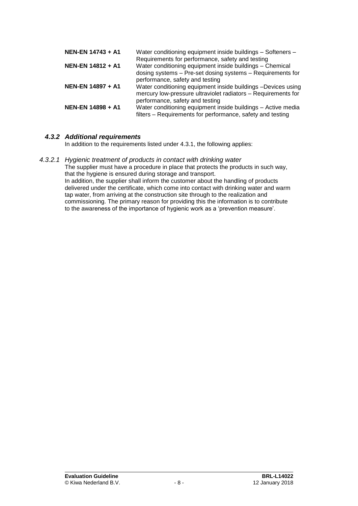| NEN-EN 14743 + A1 | Water conditioning equipment inside buildings - Softeners -<br>Requirements for performance, safety and testing                                                  |
|-------------------|------------------------------------------------------------------------------------------------------------------------------------------------------------------|
| NEN-EN 14812 + A1 | Water conditioning equipment inside buildings - Chemical<br>dosing systems - Pre-set dosing systems - Requirements for<br>performance, safety and testing        |
| NEN-EN 14897 + A1 | Water conditioning equipment inside buildings -Devices using<br>mercury low-pressure ultraviolet radiators - Requirements for<br>performance, safety and testing |
| NEN-EN 14898 + A1 | Water conditioning equipment inside buildings - Active media<br>filters - Requirements for performance, safety and testing                                       |

## *4.3.2 Additional requirements*

In addition to the requirements listed under 4.3.1, the following applies:

#### *4.3.2.1 Hygienic treatment of products in contact with drinking water*

The supplier must have a procedure in place that protects the products in such way, that the hygiene is ensured during storage and transport.

In addition, the supplier shall inform the customer about the handling of products delivered under the certificate, which come into contact with drinking water and warm tap water, from arriving at the construction site through to the realization and commissioning. The primary reason for providing this the information is to contribute to the awareness of the importance of hygienic work as a 'prevention measure'.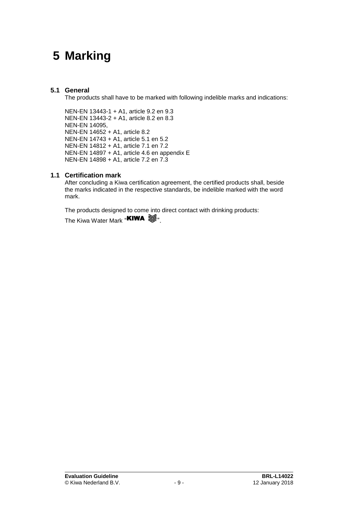## **5 Marking**

## **5.1 General**

The products shall have to be marked with following indelible marks and indications:

NEN-EN 13443-1 + A1, article 9.2 en 9.3 NEN-EN 13443-2 + A1, article 8.2 en 8.3 NEN-EN 14095, NEN-EN 14652 + A1, article 8.2 NEN-EN 14743 + A1, article 5.1 en 5.2 NEN-EN 14812 + A1, article 7.1 en 7.2 NEN-EN 14897 + A1, article 4.6 en appendix E NEN-EN 14898 + A1, article 7.2 en 7.3

## **1.1 Certification mark**

After concluding a Kiwa certification agreement, the certified products shall, beside the marks indicated in the respective standards, be indelible marked with the word mark.

The products designed to come into direct contact with drinking products:

The Kiwa Water Mark "KIWA  $\mathbb{S}$ .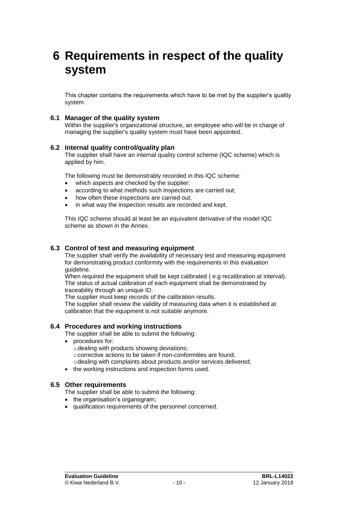## **6 Requirements in respect of the quality system**

This chapter contains the requirements which have to be met by the supplier's quality system.

#### **6.1 Manager of the quality system**

Within the supplier's organizational structure, an employee who will be in charge of managing the supplier's quality system must have been appointed.

#### **6.2 Internal quality control/quality plan**

The supplier shall have an internal quality control scheme (IQC scheme) which is applied by him.

The following must be demonstrably recorded in this IQC scheme:

- which aspects are checked by the supplier;
- according to what methods such inspections are carried out;
- how often these inspections are carried out;
- in what way the inspection results are recorded and kept.

This IQC scheme should at least be an equivalent derivative of the model IQC scheme as shown in the Annex.

#### **6.3 Control of test and measuring equipment**

The supplier shall verify the availability of necessary test and measuring equipment for demonstrating product conformity with the requirements in this evaluation guideline.

When required the equipment shall be kept calibrated ( e.g recalibration at interval). The status of actual calibration of each equipment shall be demonstrated by traceability through an unique ID.

The supplier must keep records of the calibration results.

The supplier shall review the validity of measuring data when it is established at calibration that the equipment is not suitable anymore.

#### **6.4 Procedures and working instructions**

The supplier shall be able to submit the following:

- procedures for:
	- $\circ$  dealing with products showing deviations;
	- o corrective actions to be taken if non-conformities are found;
	- odealing with complaints about products and/or services delivered;
- the working instructions and inspection forms used.

#### **6.5 Other requirements**

The supplier shall be able to submit the following:

- the organisation's organogram;
- qualification requirements of the personnel concerned.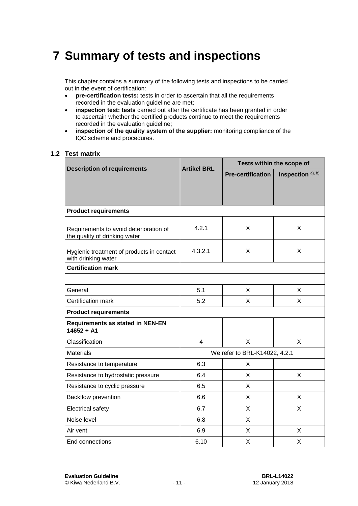## **7 Summary of tests and inspections**

This chapter contains a summary of the following tests and inspections to be carried out in the event of certification:

- **pre-certification tests:** tests in order to ascertain that all the requirements recorded in the evaluation guideline are met;
- **inspection test: tests** carried out after the certificate has been granted in order to ascertain whether the certified products continue to meet the requirements recorded in the evaluation guideline;
- **inspection of the quality system of the supplier:** monitoring compliance of the IQC scheme and procedures.

#### **1.2 Test matrix**

|                                                                         | <b>Artikel BRL</b> | Tests within the scope of     |                   |
|-------------------------------------------------------------------------|--------------------|-------------------------------|-------------------|
| <b>Description of requirements</b>                                      |                    | <b>Pre-certification</b>      | Inspection a), b) |
|                                                                         |                    |                               |                   |
|                                                                         |                    |                               |                   |
| <b>Product requirements</b>                                             |                    |                               |                   |
| Requirements to avoid deterioration of<br>the quality of drinking water | 4.2.1              | X                             | X                 |
| Hygienic treatment of products in contact<br>with drinking water        | 4.3.2.1            | X                             | X                 |
| <b>Certification mark</b>                                               |                    |                               |                   |
| General                                                                 | 5.1                | X                             | X                 |
| Certification mark                                                      | 5.2                | X                             | X                 |
| <b>Product requirements</b>                                             |                    |                               |                   |
| <b>Requirements as stated in NEN-EN</b><br>$14652 + A1$                 |                    |                               |                   |
| Classification                                                          | $\overline{4}$     | $\mathsf{X}$                  | $\mathsf{X}$      |
| <b>Materials</b>                                                        |                    | We refer to BRL-K14022, 4.2.1 |                   |
| Resistance to temperature                                               | 6.3                | X                             |                   |
| Resistance to hydrostatic pressure                                      | 6.4                | X                             | X                 |
| Resistance to cyclic pressure                                           | 6.5                | X                             |                   |
| Backflow prevention                                                     | 6.6                | X                             | X                 |
| Electrical safety                                                       | 6.7                | X                             | X                 |
| Noise level                                                             | 6.8                | X                             |                   |
| Air vent                                                                | 6.9                | X                             | X                 |
| End connections                                                         | 6.10               | X                             | X                 |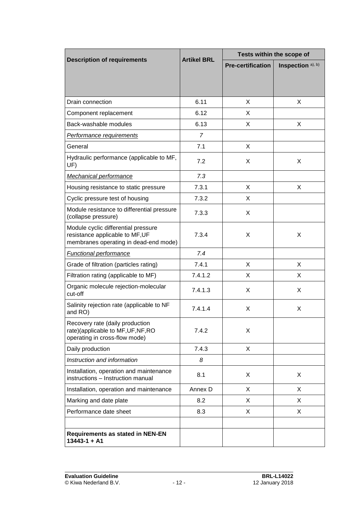|                                                                                                                 | <b>Artikel BRL</b> | Tests within the scope of |                   |
|-----------------------------------------------------------------------------------------------------------------|--------------------|---------------------------|-------------------|
| <b>Description of requirements</b>                                                                              |                    | <b>Pre-certification</b>  | Inspection a), b) |
|                                                                                                                 |                    |                           |                   |
|                                                                                                                 |                    |                           |                   |
| Drain connection                                                                                                | 6.11               | X                         | X                 |
| Component replacement                                                                                           | 6.12               | X                         |                   |
| Back-washable modules                                                                                           | 6.13               | X                         | X                 |
| <b>Performance requirements</b>                                                                                 | $\overline{7}$     |                           |                   |
| General                                                                                                         | 7.1                | X                         |                   |
| Hydraulic performance (applicable to MF,<br>UF)                                                                 | 7.2                | X                         | X                 |
| <b>Mechanical performance</b>                                                                                   | 7.3                |                           |                   |
| Housing resistance to static pressure                                                                           | 7.3.1              | X                         | X                 |
| Cyclic pressure test of housing                                                                                 | 7.3.2              | X                         |                   |
| Module resistance to differential pressure<br>(collapse pressure)                                               | 7.3.3              | X                         |                   |
| Module cyclic differential pressure<br>resistance applicable to MF, UF<br>membranes operating in dead-end mode) | 7.3.4              | X                         | X                 |
| <b>Functional performance</b>                                                                                   | 7.4                |                           |                   |
| Grade of filtration (particles rating)                                                                          | 7.4.1              | X                         | X                 |
| Filtration rating (applicable to MF)                                                                            | 7.4.1.2            | X.                        | X                 |
| Organic molecule rejection-molecular<br>cut-off                                                                 | 7.4.1.3            | X                         | X                 |
| Salinity rejection rate (applicable to NF<br>and RO)                                                            | 7.4.1.4            | X                         | X                 |
| Recovery rate (daily production<br>rate)(applicable to MF, UF, NF, RO<br>operating in cross-flow mode)          | 7.4.2              | X                         |                   |
| Daily production                                                                                                | 7.4.3              | X                         |                   |
| Instruction and information                                                                                     | 8                  |                           |                   |
| Installation, operation and maintenance<br>instructions - Instruction manual                                    | 8.1                | X                         | X                 |
| Installation, operation and maintenance                                                                         | Annex D            | X                         | X                 |
| Marking and date plate                                                                                          | 8.2                | X.                        | X                 |
| Performance date sheet                                                                                          | 8.3                | X                         | X                 |
|                                                                                                                 |                    |                           |                   |
| <b>Requirements as stated in NEN-EN</b><br>$13443 - 1 + A1$                                                     |                    |                           |                   |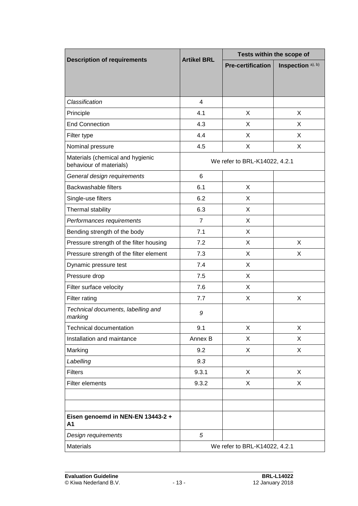|                                                             | <b>Artikel BRL</b> | Tests within the scope of     |                   |
|-------------------------------------------------------------|--------------------|-------------------------------|-------------------|
| <b>Description of requirements</b>                          |                    | <b>Pre-certification</b>      | Inspection a), b) |
|                                                             |                    |                               |                   |
|                                                             |                    |                               |                   |
| Classification                                              | 4                  |                               |                   |
| Principle                                                   | 4.1                | X                             | X                 |
| <b>End Connection</b>                                       | 4.3                | X                             | X                 |
| Filter type                                                 | 4.4                | X                             | X                 |
| Nominal pressure                                            | 4.5                | X                             | X                 |
| Materials (chemical and hygienic<br>behaviour of materials) |                    | We refer to BRL-K14022, 4.2.1 |                   |
| General design requirements                                 | 6                  |                               |                   |
| <b>Backwashable filters</b>                                 | 6.1                | X                             |                   |
| Single-use filters                                          | 6.2                | X                             |                   |
| Thermal stability                                           | 6.3                | X                             |                   |
| Performances requirements                                   | $\overline{7}$     | X                             |                   |
| Bending strength of the body                                | 7.1                | X                             |                   |
| Pressure strength of the filter housing                     | 7.2                | X                             | X                 |
| Pressure strength of the filter element                     | 7.3                | X                             | X                 |
| Dynamic pressure test                                       | 7.4                | X                             |                   |
| Pressure drop                                               | 7.5                | X                             |                   |
| Filter surface velocity                                     | 7.6                | X                             |                   |
| Filter rating                                               | 7.7                | X                             | X                 |
| Technical documents, labelling and<br>marking               | 9                  |                               |                   |
| Technical documentation                                     | 9.1                | X                             | X                 |
| Installation and maintance                                  | Annex B            | X                             | X                 |
| Marking                                                     | 9.2                | X                             | X                 |
| Labelling                                                   | 9.3                |                               |                   |
| <b>Filters</b>                                              | 9.3.1              | X                             | X                 |
| Filter elements                                             | 9.3.2              | X                             | X                 |
|                                                             |                    |                               |                   |
| Eisen genoemd in NEN-EN 13443-2 +<br>Α1                     |                    |                               |                   |
| Design requirements                                         | 5                  |                               |                   |
| <b>Materials</b>                                            |                    | We refer to BRL-K14022, 4.2.1 |                   |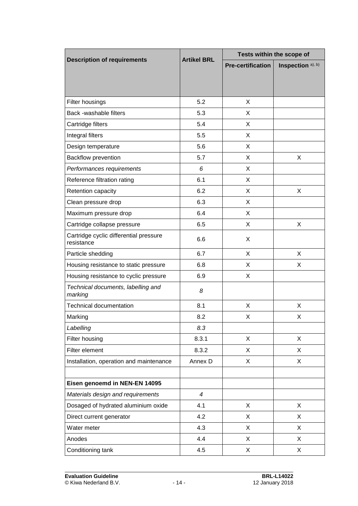|                                                      | <b>Artikel BRL</b> | Tests within the scope of |                   |  |
|------------------------------------------------------|--------------------|---------------------------|-------------------|--|
| <b>Description of requirements</b>                   |                    | <b>Pre-certification</b>  | Inspection a), b) |  |
|                                                      |                    |                           |                   |  |
|                                                      |                    |                           |                   |  |
| Filter housings                                      | 5.2                | X                         |                   |  |
| Back -washable filters                               | 5.3                | X                         |                   |  |
| Cartridge filters                                    | 5.4                | X                         |                   |  |
| Integral filters                                     | 5.5                | X                         |                   |  |
| Design temperature                                   | 5.6                | X                         |                   |  |
| Backflow prevention                                  | 5.7                | X                         | X                 |  |
| Performances requirements                            | 6                  | X                         |                   |  |
| Reference filtration rating                          | 6.1                | X                         |                   |  |
| Retention capacity                                   | 6.2                | X                         | X                 |  |
| Clean pressure drop                                  | 6.3                | X                         |                   |  |
| Maximum pressure drop                                | 6.4                | X                         |                   |  |
| Cartridge collapse pressure                          | 6.5                | X                         | X                 |  |
| Cartridge cyclic differential pressure<br>resistance | 6.6                | X                         |                   |  |
| Particle shedding                                    | 6.7                | X                         | X                 |  |
| Housing resistance to static pressure                | 6.8                | X                         | X                 |  |
| Housing resistance to cyclic pressure                | 6.9                | X                         |                   |  |
| Technical documents, labelling and<br>marking        | 8                  |                           |                   |  |
| <b>Technical documentation</b>                       | 8.1                | X                         | X                 |  |
| Marking                                              | 8.2                | х                         | X                 |  |
| Labelling                                            | 8.3                |                           |                   |  |
| Filter housing                                       | 8.3.1              | X                         | X                 |  |
| Filter element                                       | 8.3.2              | X                         | X                 |  |
| Installation, operation and maintenance              | Annex D            | X                         | X                 |  |
|                                                      |                    |                           |                   |  |
| Eisen genoemd in NEN-EN 14095                        |                    |                           |                   |  |
| Materials design and requirements                    | $\overline{4}$     |                           |                   |  |
| Dosaged of hydrated aluminium oxide                  | 4.1                | X                         | X                 |  |
| Direct current generator                             | 4.2                | X                         | X                 |  |
| Water meter                                          | 4.3                | X                         | X                 |  |
| Anodes                                               | 4.4                | X                         | X                 |  |
| Conditioning tank                                    | 4.5                | X                         | X                 |  |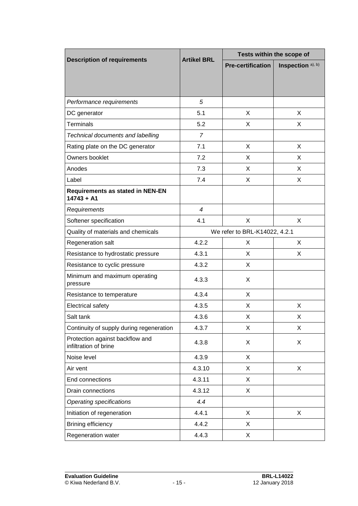|                                                          | <b>Artikel BRL</b>            | Tests within the scope of |                   |
|----------------------------------------------------------|-------------------------------|---------------------------|-------------------|
| <b>Description of requirements</b>                       |                               | <b>Pre-certification</b>  | Inspection a), b) |
|                                                          |                               |                           |                   |
|                                                          |                               |                           |                   |
| Performance requirements                                 | 5                             |                           |                   |
| DC generator                                             | 5.1                           | X                         | X                 |
| <b>Terminals</b>                                         | 5.2                           | X                         | X                 |
| Technical documents and labelling                        | $\overline{7}$                |                           |                   |
| Rating plate on the DC generator                         | 7.1                           | X                         | $\times$          |
| Owners booklet                                           | 7.2                           | X                         | $\times$          |
| Anodes                                                   | 7.3                           | X                         | X                 |
| Label                                                    | 7.4                           | X                         | X                 |
| <b>Requirements as stated in NEN-EN</b><br>$14743 + A1$  |                               |                           |                   |
| Requirements                                             | $\overline{4}$                |                           |                   |
| Softener specification                                   | 4.1                           | X                         | X                 |
| Quality of materials and chemicals                       | We refer to BRL-K14022, 4.2.1 |                           |                   |
| Regeneration salt                                        | 4.2.2                         | X                         | X                 |
| Resistance to hydrostatic pressure                       | 4.3.1                         | X                         | X                 |
| Resistance to cyclic pressure                            | 4.3.2                         | X                         |                   |
| Minimum and maximum operating<br>pressure                | 4.3.3                         | X                         |                   |
| Resistance to temperature                                | 4.3.4                         | X                         |                   |
| Electrical safety                                        | 4.3.5                         | X                         | X                 |
| Salt tank                                                | 4.3.6                         | X                         | X                 |
| Continuity of supply during regeneration                 | 4.3.7                         | X                         | X                 |
| Protection against backflow and<br>infiltration of brine | 4.3.8                         | X                         | X                 |
| Noise level                                              | 4.3.9                         | X                         |                   |
| Air vent                                                 | 4.3.10                        | X                         | X                 |
| End connections                                          | 4.3.11                        | X                         |                   |
| Drain connections                                        | 4.3.12                        | X                         |                   |
| <b>Operating specifications</b>                          | 4.4                           |                           |                   |
| Initiation of regeneration                               | 4.4.1                         | X                         | X                 |
| Brining efficiency                                       | 4.4.2                         | X                         |                   |
| Regeneration water                                       | 4.4.3                         | X                         |                   |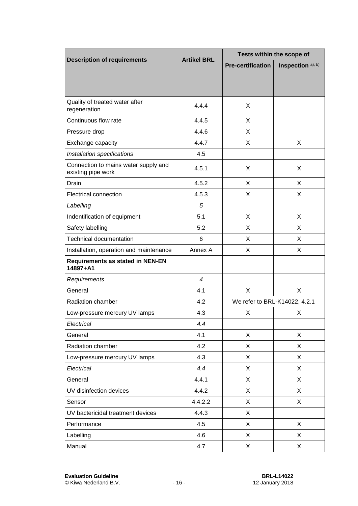|                                                            | <b>Artikel BRL</b> | Tests within the scope of     |                   |
|------------------------------------------------------------|--------------------|-------------------------------|-------------------|
| <b>Description of requirements</b>                         |                    | <b>Pre-certification</b>      | Inspection a), b) |
|                                                            |                    |                               |                   |
|                                                            |                    |                               |                   |
| Quality of treated water after<br>regeneration             | 4.4.4              | X                             |                   |
| Continuous flow rate                                       | 4.4.5              | X                             |                   |
| Pressure drop                                              | 4.4.6              | X                             |                   |
| Exchange capacity                                          | 4.4.7              | X                             | X                 |
| Installation specifications                                | 4.5                |                               |                   |
| Connection to mains water supply and<br>existing pipe work | 4.5.1              | X                             | X                 |
| Drain                                                      | 4.5.2              | X                             | X                 |
| Electrical connection                                      | 4.5.3              | X                             | X                 |
| Labelling                                                  | 5                  |                               |                   |
| Indentification of equipment                               | 5.1                | X                             | X                 |
| Safety labelling                                           | 5.2                | X                             | X                 |
| <b>Technical documentation</b>                             | 6                  | X                             | X                 |
| Installation, operation and maintenance                    | Annex A            | X                             | X                 |
| <b>Requirements as stated in NEN-EN</b><br>14897+A1        |                    |                               |                   |
| Requirements                                               | $\overline{4}$     |                               |                   |
| General                                                    | 4.1                | X                             | X                 |
| Radiation chamber                                          | 4.2                | We refer to BRL-K14022, 4.2.1 |                   |
| Low-pressure mercury UV lamps                              | 4.3                | X                             | X                 |
| Electrical                                                 | 4.4                |                               |                   |
| General                                                    | 4.1                | X                             | X                 |
| Radiation chamber                                          | 4.2                | X                             | X                 |
| Low-pressure mercury UV lamps                              | 4.3                | X                             | X                 |
| Electrical                                                 | 4.4                | X                             | X                 |
| General                                                    | 4.4.1              | X                             | X                 |
| UV disinfection devices                                    | 4.4.2              | X                             | X                 |
| Sensor                                                     | 4.4.2.2            | X                             | X                 |
| UV bactericidal treatment devices                          | 4.4.3              | X                             |                   |
| Performance                                                | 4.5                | X                             | X                 |
| Labelling                                                  | 4.6                | X                             | X                 |
| Manual                                                     | 4.7                | X                             | X                 |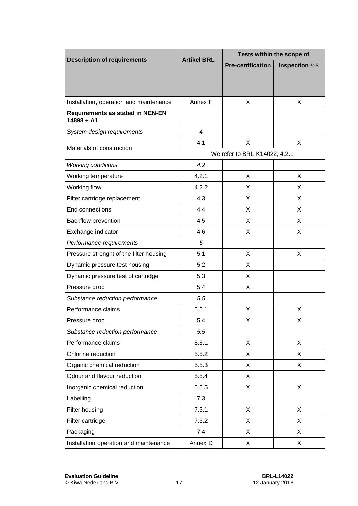|                                                  | <b>Artikel BRL</b> | Tests within the scope of     |                   |
|--------------------------------------------------|--------------------|-------------------------------|-------------------|
| <b>Description of requirements</b>               |                    | <b>Pre-certification</b>      | Inspection a), b) |
|                                                  |                    |                               |                   |
| Installation, operation and maintenance          | Annex F            | X                             | X                 |
| Requirements as stated in NEN-EN<br>$14898 + A1$ |                    |                               |                   |
| System design requirements                       | $\overline{4}$     |                               |                   |
| Materials of construction                        | 4.1                | X                             | X                 |
|                                                  |                    | We refer to BRL-K14022, 4.2.1 |                   |
| <b>Working conditions</b>                        | 4.2                |                               |                   |
| Working temperature                              | 4.2.1              | X                             | X                 |
| Working flow                                     | 4.2.2              | X                             | X                 |
| Filter cartridge replacement                     | 4.3                | X                             | X                 |
| End connections                                  | 4.4                | X                             | X.                |
| Backflow prevention                              | 4.5                | X                             | X                 |
| Exchange indicator                               | 4.6                | X                             | X                 |
| Performance requirements                         | 5                  |                               |                   |
| Pressure strenght of the filter housing          | 5.1                | X                             | X                 |
| Dynamic pressure test housing                    | 5.2                | X                             |                   |
| Dynamic pressure test of cartridge               | 5.3                | X                             |                   |
| Pressure drop                                    | 5.4                | X                             |                   |
| Substance reduction performance                  | 5.5                |                               |                   |
| Performance claims                               | 5.5.1              | X                             | X                 |
| Pressure drop                                    | 5.4                | х                             | X                 |
| Substance reduction performance                  | 5.5                |                               |                   |
| Performance claims                               | 5.5.1              | X                             | X                 |
| Chlorine reduction                               | 5.5.2              | X                             | X                 |
| Organic chemical reduction                       | 5.5.3              | X                             | X                 |
| Odour and flavour reduction                      | 5.5.4              | X                             |                   |
| Inorganic chemical reduction                     | 5.5.5              | X                             | X                 |
| Labelling                                        | 7.3                |                               |                   |
| Filter housing                                   | 7.3.1              | X                             | X                 |
| Filter cartridge                                 | 7.3.2              | X                             | X                 |
| Packaging                                        | 7.4                | X                             | X                 |
| Installation operation and maintenance           | Annex D            | X                             | X                 |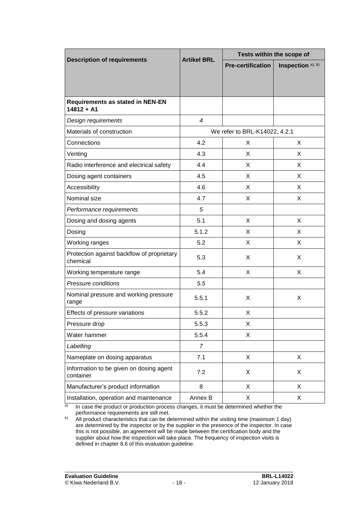|                                                         | <b>Artikel BRL</b> | Tests within the scope of     |                   |
|---------------------------------------------------------|--------------------|-------------------------------|-------------------|
| <b>Description of requirements</b>                      |                    | <b>Pre-certification</b>      | Inspection a), b) |
|                                                         |                    |                               |                   |
|                                                         |                    |                               |                   |
| <b>Requirements as stated in NEN-EN</b><br>$14812 + A1$ |                    |                               |                   |
| Design requirements                                     | $\overline{4}$     |                               |                   |
| Materials of construction                               |                    | We refer to BRL-K14022, 4.2.1 |                   |
| Connections                                             | 4.2                | X                             | X                 |
| Venting                                                 | 4.3                | X                             | X                 |
| Radio interference and electrical safety                | 4.4                | X                             | X                 |
| Dosing agent containers                                 | 4.5                | X                             | X                 |
| Accessibility                                           | 4.6                | X                             | X                 |
| Nominal size                                            | 4.7                | X                             | X                 |
| Performance requirements                                | 5                  |                               |                   |
| Dosing and dosing agents                                | 5.1                | X                             | X                 |
| Dosing                                                  | 5.1.2              | X                             | X                 |
| Working ranges                                          | 5.2                | X                             | X                 |
| Protection against backflow of proprietary<br>chemical  | 5.3                | X                             | X                 |
| Working temperature range                               | 5.4                | X                             | X                 |
| Pressure conditions                                     | 5.5                |                               |                   |
| Nominal pressure and working pressure<br>range          | 5.5.1              | X                             | X                 |
| Effects of pressure variations                          | 5.5.2              | X                             |                   |
| Pressure drop                                           | 5.5.3              | X                             |                   |
| Water hammer                                            | 5.5.4              | X                             |                   |
| Labelling                                               | $\overline{7}$     |                               |                   |
| Nameplate on dosing apparatus                           | 7.1                | X                             | X                 |
| Information to be given on dosing agent<br>container    | 7.2                | X                             | X                 |
| Manufacturer's product information                      | 8                  | X                             | X                 |
| Installation, operation and maintenance                 | Annex B            | X                             | X                 |

<sup>a)</sup> In case the product or production process changes, it must be determined whether the performance requirements are still met.

 $b)$  All product characteristics that can be determined within the visiting time (maximum 1 day) are determined by the inspector or by the supplier in the presence of the inspector. In case this is not possible, an agreement will be made between the certification body and the supplier about how the inspection will take place. The frequency of inspection visits is defined in chapter [8.6](#page-22-0) of this evaluation guideline.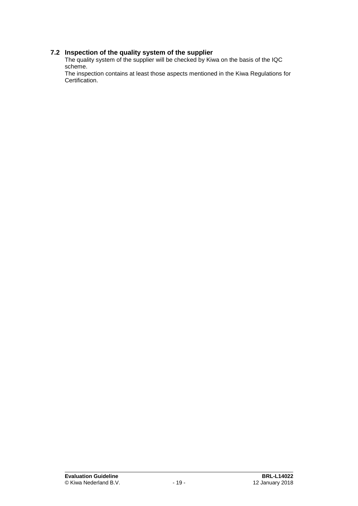## **7.2 Inspection of the quality system of the supplier**

The quality system of the supplier will be checked by Kiwa on the basis of the IQC scheme.

The inspection contains at least those aspects mentioned in the Kiwa Regulations for Certification.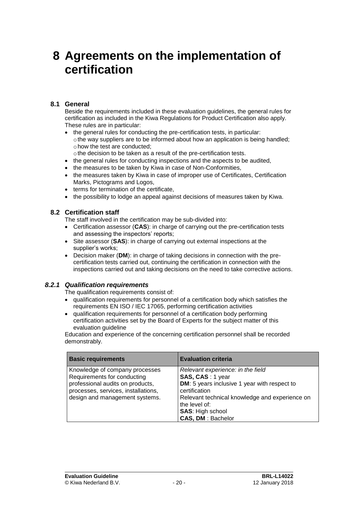## **8 Agreements on the implementation of certification**

## **8.1 General**

Beside the requirements included in these evaluation guidelines, the general rules for certification as included in the Kiwa Regulations for Product Certification also apply. These rules are in particular:

- the general rules for conducting the pre-certification tests, in particular: othe way suppliers are to be informed about how an application is being handled; ohow the test are conducted;
	- othe decision to be taken as a result of the pre-certification tests.
- the general rules for conducting inspections and the aspects to be audited,
- the measures to be taken by Kiwa in case of Non-Conformities,
- the measures taken by Kiwa in case of improper use of Certificates, Certification Marks, Pictograms and Logos,
- terms for termination of the certificate.
- <span id="page-20-0"></span>• the possibility to lodge an appeal against decisions of measures taken by Kiwa.

## **8.2 Certification staff**

The staff involved in the certification may be sub-divided into:

- Certification assessor (**CAS**): in charge of carrying out the pre-certification tests and assessing the inspectors' reports;
- Site assessor (**SAS**): in charge of carrying out external inspections at the supplier's works;
- Decision maker (**DM**): in charge of taking decisions in connection with the precertification tests carried out, continuing the certification in connection with the inspections carried out and taking decisions on the need to take corrective actions.

### *8.2.1 Qualification requirements*

The qualification requirements consist of:

- qualification requirements for personnel of a certification body which satisfies the requirements EN ISO / IEC 17065, performing certification activities
- qualification requirements for personnel of a certification body performing certification activities set by the Board of Experts for the subject matter of this evaluation quideline

Education and experience of the concerning certification personnel shall be recorded demonstrably.

| <b>Basic requirements</b>                                                                                                                                                  | <b>Evaluation criteria</b>                                                                                                                                                                                                                       |
|----------------------------------------------------------------------------------------------------------------------------------------------------------------------------|--------------------------------------------------------------------------------------------------------------------------------------------------------------------------------------------------------------------------------------------------|
| Knowledge of company processes<br>Requirements for conducting<br>professional audits on products,<br>processes, services, installations,<br>design and management systems. | Relevant experience: in the field<br>SAS, CAS: 1 year<br>DM: 5 years inclusive 1 year with respect to<br>certification<br>Relevant technical knowledge and experience on<br>the level of:<br><b>SAS: High school</b><br><b>CAS, DM: Bachelor</b> |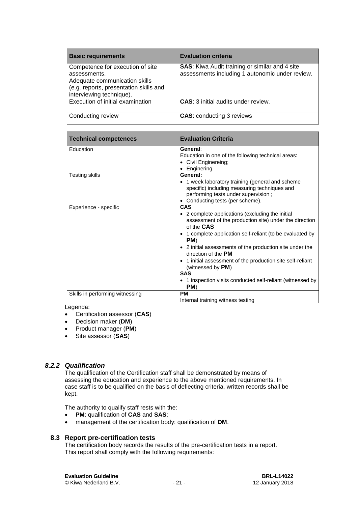| <b>Basic requirements</b>                                                                                                                               | <b>Evaluation criteria</b>                                                                               |
|---------------------------------------------------------------------------------------------------------------------------------------------------------|----------------------------------------------------------------------------------------------------------|
| Competence for execution of site<br>assessments.<br>Adequate communication skills<br>(e.g. reports, presentation skills and<br>interviewing technique). | <b>SAS:</b> Kiwa Audit training or similar and 4 site<br>assessments including 1 autonomic under review. |
| Execution of initial examination                                                                                                                        | <b>CAS:</b> 3 initial audits under review.                                                               |
| Conducting review                                                                                                                                       | <b>CAS: conducting 3 reviews</b>                                                                         |

| <b>Technical competences</b>    | <b>Evaluation Criteria</b>                                                                                                                                                                                                                                                                                                                                                                                                                                                    |  |  |  |
|---------------------------------|-------------------------------------------------------------------------------------------------------------------------------------------------------------------------------------------------------------------------------------------------------------------------------------------------------------------------------------------------------------------------------------------------------------------------------------------------------------------------------|--|--|--|
| Education                       | General:<br>Education in one of the following technical areas:<br>• Civil Enginereing;<br>• Enginering.                                                                                                                                                                                                                                                                                                                                                                       |  |  |  |
| <b>Testing skills</b>           | General:<br>• 1 week laboratory training (general and scheme<br>specific) including measuring techniques and<br>performing tests under supervision;<br>• Conducting tests (per scheme).                                                                                                                                                                                                                                                                                       |  |  |  |
| Experience - specific           | <b>CAS</b><br>• 2 complete applications (excluding the initial<br>assessment of the production site) under the direction<br>of the CAS<br>• 1 complete application self-reliant (to be evaluated by<br>PM)<br>• 2 initial assessments of the production site under the<br>direction of the <b>PM</b><br>• 1 initial assessment of the production site self-reliant<br>(witnessed by $PM$ )<br><b>SAS</b><br>• 1 inspection visits conducted self-reliant (witnessed by<br>PM) |  |  |  |
| Skills in performing witnessing | <b>PM</b><br>Internal training witness testing                                                                                                                                                                                                                                                                                                                                                                                                                                |  |  |  |
| ogondo:                         |                                                                                                                                                                                                                                                                                                                                                                                                                                                                               |  |  |  |

Legenda:

- Certification assessor (**CAS**)
- Decision maker (**DM**)
- Product manager (**PM**)
- Site assessor (**SAS**)

## *8.2.2 Qualification*

The qualification of the Certification staff shall be demonstrated by means of assessing the education and experience to the above mentioned requirements. In case staff is to be qualified on the basis of deflecting criteria, written records shall be kept.

The authority to qualify staff rests with the:

- **PM**: qualification of **CAS** and **SAS**;
- management of the certification body: qualification of **DM**.

## **8.3 Report pre-certification tests**

The certification body records the results of the pre-certification tests in a report. This report shall comply with the following requirements: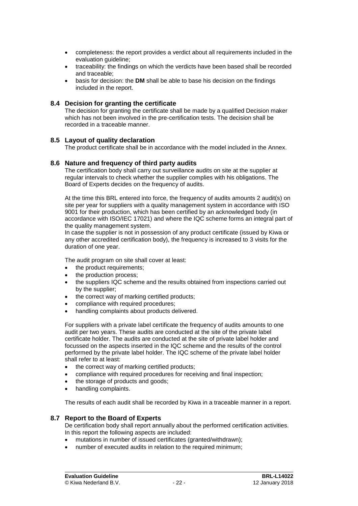- completeness: the report provides a verdict about all requirements included in the evaluation guideline;
- traceability: the findings on which the verdicts have been based shall be recorded and traceable;
- basis for decision: the **DM** shall be able to base his decision on the findings included in the report.

#### **8.4 Decision for granting the certificate**

The decision for granting the certificate shall be made by a qualified Decision maker which has not been involved in the pre-certification tests. The decision shall be recorded in a traceable manner.

#### **8.5 Layout of quality declaration**

<span id="page-22-0"></span>The product certificate shall be in accordance with the model included in the Annex.

#### **8.6 Nature and frequency of third party audits**

The certification body shall carry out surveillance audits on site at the supplier at regular intervals to check whether the supplier complies with his obligations. The Board of Experts decides on the frequency of audits.

At the time this BRL entered into force, the frequency of audits amounts 2 audit(s) on site per year for suppliers with a quality management system in accordance with ISO 9001 for their production, which has been certified by an acknowledged body (in accordance with ISO/IEC 17021) and where the IQC scheme forms an integral part of the quality management system.

In case the supplier is not in possession of any product certificate (issued by Kiwa or any other accredited certification body), the frequency is increased to 3 visits for the duration of one year.

The audit program on site shall cover at least:

- the product requirements;
- the production process:
- the suppliers IQC scheme and the results obtained from inspections carried out by the supplier;
- the correct way of marking certified products;
- compliance with required procedures;
- handling complaints about products delivered.

For suppliers with a private label certificate the frequency of audits amounts to one audit per two years. These audits are conducted at the site of the private label certificate holder. The audits are conducted at the site of private label holder and focussed on the aspects inserted in the IQC scheme and the results of the control performed by the private label holder. The IQC scheme of the private label holder shall refer to at least:

- the correct way of marking certified products;
- compliance with required procedures for receiving and final inspection;
- the storage of products and goods;
- handling complaints.

The results of each audit shall be recorded by Kiwa in a traceable manner in a report.

#### **8.7 Report to the Board of Experts**

De certification body shall report annually about the performed certification activities. In this report the following aspects are included:

- mutations in number of issued certificates (granted/withdrawn);
- number of executed audits in relation to the required minimum;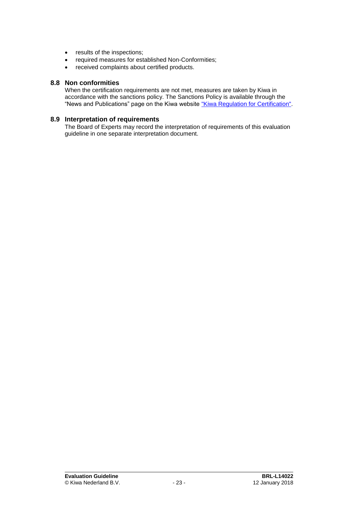- results of the inspections;
- required measures for established Non-Conformities;
- received complaints about certified products.

#### **8.8 Non conformities**

When the certification requirements are not met, measures are taken by Kiwa in accordance with the sanctions policy. The Sanctions Policy is available through the "News and Publications" page on the Kiwa website ["Kiwa Regulation for Certification".](https://www.kiwa.nl/uploadedFiles/Nieuws_en_publicaties/Kiwa%20Regulation%20for%20Certification.pdf)

#### **8.9 Interpretation of requirements**

The Board of Experts may record the interpretation of requirements of this evaluation guideline in one separate interpretation document.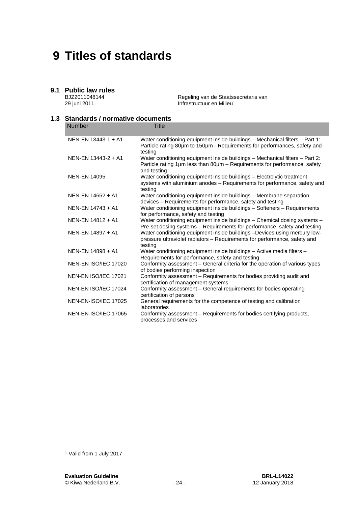## **9 Titles of standards**

## **9.1 Public law rules**

BJZ2011048144 29 juni 2011

Regeling van de Staatssecretaris van Infrastructuur en Milieu<sup>1</sup>

## **1.3 Standards / normative documents**

| <b>Number</b>               | <b>Title</b>                                                                                                                                                             |
|-----------------------------|--------------------------------------------------------------------------------------------------------------------------------------------------------------------------|
|                             |                                                                                                                                                                          |
| NEN-EN 13443-1 + A1         | Water conditioning equipment inside buildings - Mechanical filters - Part 1:<br>Particle rating 80um to 150um - Requirements for performances, safety and<br>testing     |
| NEN-EN 13443-2 + A1         | Water conditioning equipment inside buildings - Mechanical filters - Part 2:<br>Particle rating 1μm less than 80μm – Requirements for performance, safety<br>and testing |
| <b>NEN-EN 14095</b>         | Water conditioning equipment inside buildings - Electrolytic treatment<br>systems with aluminium anodes - Requirements for performance, safety and<br>testing            |
| NEN-EN 14652 + A1           | Water conditioning equipment inside buildings - Membrane separation<br>devices – Requirements for performance, safety and testing                                        |
| NEN-EN 14743 + A1           | Water conditioning equipment inside buildings - Softeners - Requirements<br>for performance, safety and testing                                                          |
| NEN-EN 14812 + A1           | Water conditioning equipment inside buildings - Chemical dosing systems -<br>Pre-set dosing systems - Requirements for performance, safety and testing                   |
| NEN-EN 14897 + A1           | Water conditioning equipment inside buildings -Devices using mercury low-<br>pressure ultraviolet radiators – Requirements for performance, safety and<br>testing        |
| NEN-EN 14898 + A1           | Water conditioning equipment inside buildings - Active media filters -<br>Requirements for performance, safety and testing                                               |
| NEN-EN ISO/IEC 17020        | Conformity assessment - General criteria for the operation of various types<br>of bodies performing inspection                                                           |
| NEN-EN ISO/IEC 17021        | Conformity assessment - Requirements for bodies providing audit and<br>certification of management systems                                                               |
| NEN-EN ISO/IEC 17024        | Conformity assessment - General requirements for bodies operating<br>certification of persons                                                                            |
| NEN-EN-ISO/IEC 17025        | General requirements for the competence of testing and calibration<br>laboratories                                                                                       |
| <b>NEN-EN-ISO/IEC 17065</b> | Conformity assessment - Requirements for bodies certifying products,<br>processes and services                                                                           |

l

<sup>1</sup> Valid from 1 July 2017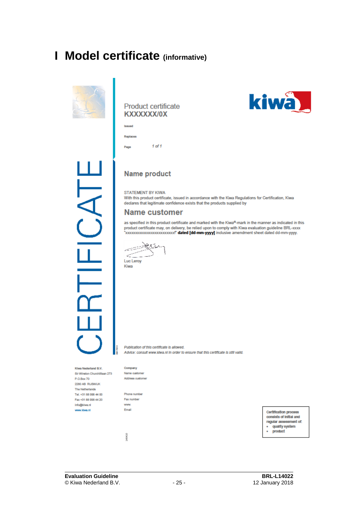## **I Model certificate (informative)**



## **Product certificate** KXXXXXX/0X



 $1$  of  $1$ Page

## **Name product**

STATEMENT BY KIWA

With this product certificate, issued in accordance with the Kiwa Regulations for Certification, Kiwa declares that legitimate confidence exists that the products supplied by

## **Name customer**

as specified in this product certificate and marked with the Kiwa®-mark in the manner as indicated in this product certificate may, on delivery, be relied upon to comply with Kiwa evaluation guideline BRL-xxxx xxxxxxxxxxxxxxxxxxxxxxxxxx dated [dd-mm-yyyy] inclusive amendment sheet dated dd-mm-yyyy.

 $\trianglelefteq^{\text{max}}$ Luc Leroy Kiwa

Publication of this certificate is allowed. Advice: consuit www.kiwa.nl in order to ensure that this certificate is still valid.

Kiwa Nederland B.V. Sir Winston Churchillaan 273 P.O.Box 70 2280 AB\_RUSWUK The Netherlands Tel. +31 88 998 44 00 Fax +31 88 998 44 20 info@kiwa.nl www.klwa.ni

Company Name customer Address customer

Phone number Fax number www. Email

140410

consists of initial and quality system ÷, product

kiwa

Certification process regular assessment of: